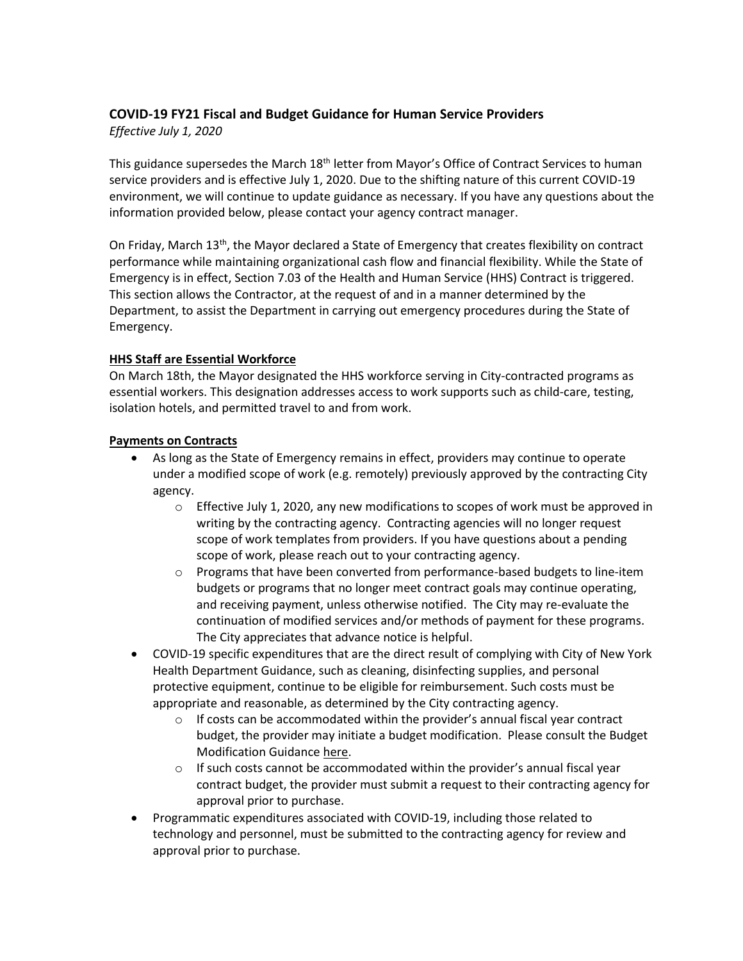# **COVID-19 FY21 Fiscal and Budget Guidance for Human Service Providers**

*Effective July 1, 2020*

This guidance supersedes the March 18<sup>th</sup> letter from Mayor's Office of Contract Services to human service providers and is effective July 1, 2020. Due to the shifting nature of this current COVID-19 environment, we will continue to update guidance as necessary. If you have any questions about the information provided below, please contact your agency contract manager.

On Friday, March 13<sup>th</sup>, the Mayor declared a State of Emergency that creates flexibility on contract performance while maintaining organizational cash flow and financial flexibility. While the State of Emergency is in effect, Section 7.03 of the Health and Human Service (HHS) Contract is triggered. This section allows the Contractor, at the request of and in a manner determined by the Department, to assist the Department in carrying out emergency procedures during the State of Emergency.

## **HHS Staff are Essential Workforce**

On March 18th, the Mayor designated the HHS workforce serving in City-contracted programs as essential workers. This designation addresses access to work supports such as child-care, testing, isolation hotels, and permitted travel to and from work.

### **Payments on Contracts**

- As long as the State of Emergency remains in effect, providers may continue to operate under a modified scope of work (e.g. remotely) previously approved by the contracting City agency.
	- o Effective July 1, 2020, any new modifications to scopes of work must be approved in writing by the contracting agency. Contracting agencies will no longer request scope of work templates from providers. If you have questions about a pending scope of work, please reach out to your contracting agency.
	- o Programs that have been converted from performance-based budgets to line-item budgets or programs that no longer meet contract goals may continue operating, and receiving payment, unless otherwise notified. The City may re-evaluate the continuation of modified services and/or methods of payment for these programs. The City appreciates that advance notice is helpful.
- COVID-19 specific expenditures that are the direct result of complying with City of New York Health Department Guidance, such as cleaning, disinfecting supplies, and personal protective equipment, continue to be eligible for reimbursement. Such costs must be appropriate and reasonable, as determined by the City contracting agency.
	- $\circ$  If costs can be accommodated within the provider's annual fiscal year contract budget, the provider may initiate a budget modification. Please consult the [Budget](https://www1.nyc.gov/assets/nonprofits/downloads/pdf/HHS%20Accelerator%20Budget%20Modification%20FAQs.pdf) [Modification](https://www1.nyc.gov/assets/nonprofits/downloads/pdf/HHS%20Accelerator%20Budget%20Modification%20FAQs.pdf) Guidance here.
	- $\circ$  If such costs cannot be accommodated within the provider's annual fiscal year contract budget, the provider must submit a request to their contracting agency for approval prior to purchase.
- Programmatic expenditures associated with COVID-19, including those related to technology and personnel, must be submitted to the contracting agency for review and approval prior to purchase.